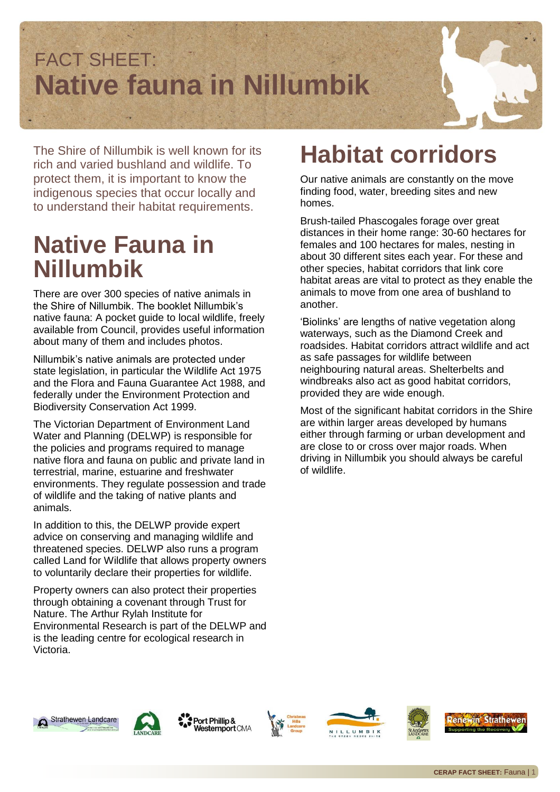

The Shire of Nillumbik is well known for its rich and varied bushland and wildlife. To protect them, it is important to know the indigenous species that occur locally and to understand their habitat requirements.

### **Native Fauna in Nillumbik**

There are over 300 species of native animals in the Shire of Nillumbik. The booklet Nillumbik's native fauna: A pocket guide to local wildlife, freely available from Council, provides useful information about many of them and includes photos.

Nillumbik's native animals are protected under state legislation, in particular the Wildlife Act 1975 and the Flora and Fauna Guarantee Act 1988, and federally under the Environment Protection and Biodiversity Conservation Act 1999.

The Victorian Department of Environment Land Water and Planning (DELWP) is responsible for the policies and programs required to manage native flora and fauna on public and private land in terrestrial, marine, estuarine and freshwater environments. They regulate possession and trade of wildlife and the taking of native plants and animals.

In addition to this, the DELWP provide expert advice on conserving and managing wildlife and threatened species. DELWP also runs a program called Land for Wildlife that allows property owners to voluntarily declare their properties for wildlife.

Property owners can also protect their properties through obtaining a covenant through Trust for Nature. The Arthur Rylah Institute for Environmental Research is part of the DELWP and is the leading centre for ecological research in Victoria.

## **Habitat corridors**

Our native animals are constantly on the move finding food, water, breeding sites and new homes.

Brush-tailed Phascogales forage over great distances in their home range: 30-60 hectares for females and 100 hectares for males, nesting in about 30 different sites each year. For these and other species, habitat corridors that link core habitat areas are vital to protect as they enable the animals to move from one area of bushland to another.

'Biolinks' are lengths of native vegetation along waterways, such as the Diamond Creek and roadsides. Habitat corridors attract wildlife and act as safe passages for wildlife between neighbouring natural areas. Shelterbelts and windbreaks also act as good habitat corridors, provided they are wide enough.

Most of the significant habitat corridors in the Shire are within larger areas developed by humans either through farming or urban development and are close to or cross over major roads. When driving in Nillumbik you should always be careful of wildlife.













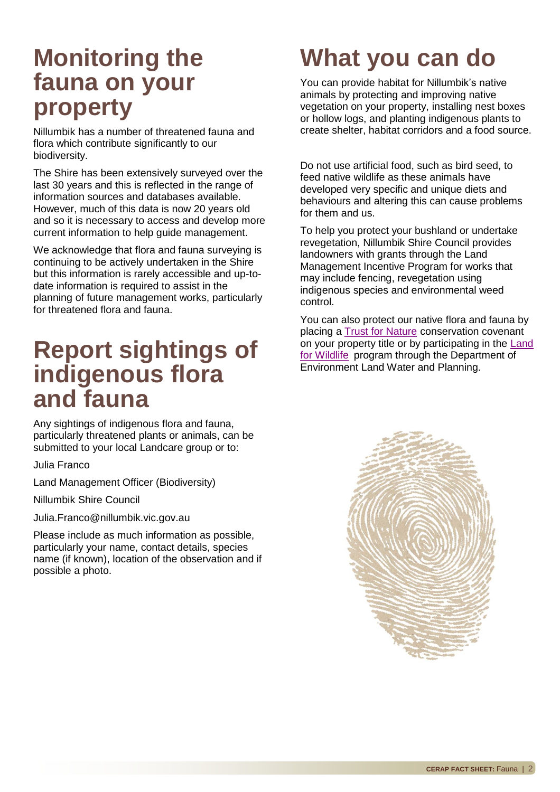#### **Monitoring the fauna on your property**

Nillumbik has a number of threatened fauna and flora which contribute significantly to our biodiversity.

The Shire has been extensively surveyed over the last 30 years and this is reflected in the range of information sources and databases available. However, much of this data is now 20 years old and so it is necessary to access and develop more current information to help guide management.

We acknowledge that flora and fauna surveying is continuing to be actively undertaken in the Shire but this information is rarely accessible and up-todate information is required to assist in the planning of future management works, particularly for threatened flora and fauna.

#### **Report sightings of indigenous flora and fauna**

Any sightings of indigenous flora and fauna, particularly threatened plants or animals, can be submitted to your local Landcare group or to:

Julia Franco

Land Management Officer (Biodiversity)

Nillumbik Shire Council

Julia.Franco@nillumbik.vic.gov.au

Please include as much information as possible, particularly your name, contact details, species name (if known), location of the observation and if possible a photo.

# **What you can do**

You can provide habitat for Nillumbik's native animals by protecting and improving native vegetation on your property, installing nest boxes or hollow logs, and planting indigenous plants to create shelter, habitat corridors and a food source.

Do not use artificial food, such as bird seed, to feed native wildlife as these animals have developed very specific and unique diets and behaviours and altering this can cause problems for them and us.

To help you protect your bushland or undertake revegetation, Nillumbik Shire Council provides landowners with grants through the Land Management Incentive Program for works that may include fencing, revegetation using indigenous species and environmental weed control.

You can also protect our native flora and fauna by placing a [Trust for Nature](http://www.trustfornature.org.au/) conservation covenant on your property title or by participating in the Land [for Wildlife](http://www.dse.vic.gov.au/plants-and-animals/native-plants-and-animals/land-for-wildlife) program through the Department of Environment Land Water and Planning.